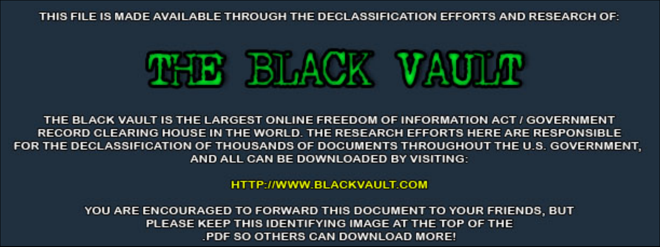THIS FILE IS MADE AVAILABLE THROUGH THE DECLASSIFICATION EFFORTS AND RESEARCH OF:



THE BLACK VAULT IS THE LARGEST ONLINE FREEDOM OF INFORMATION ACT / GOVERNMENT RECORD CLEARING HOUSE IN THE WORLD. THE RESEARCH EFFORTS HERE ARE RESPONSIBLE FOR THE DECLASSIFICATION OF THOUSANDS OF DOCUMENTS THROUGHOUT THE U.S. GOVERNMENT, AND ALL CAN BE DOWNLOADED BY VISITING:

**HTTP://WWW.BLACKVAULT.COM** 

YOU ARE ENCOURAGED TO FORWARD THIS DOCUMENT TO YOUR FRIENDS, BUT PLEASE KEEP THIS IDENTIFYING IMAGE AT THE TOP OF THE PDF SO OTHERS CAN DOWNLOAD MORE!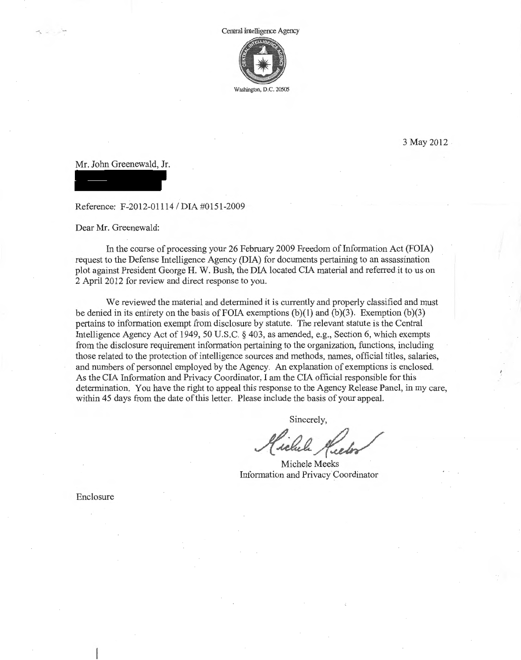

3 May 2012

Mr. John Greenewald, Jr.

-.

Reference: F-2012-01114 / DIA #0151-2009

Dear Mr. Greenewald:

In the course of processing your 26 February 2009 Freedom of Information Act (FOIA) request to the Defense Intelligence Agency (DIA) for documents pertaining to an assassination plot against President George H. W. Bush, the DIA located CIA material and referred it to us on 2 April 2012 for review and direct response to you.

We reviewed the material and determined it is currently and properly classified and must be denied in its entirety on the basis of FOIA exemptions (b)(1) and (b)(3). Exemption (b)(3) pertains to information exempt from disclosure by statute. The relevant statute is the Central Intelligence Agency Act of 1949, 50 U.S.C. § 403, as amended, e.g., Section 6, which exempts from the disclosure requirement information pertaining to the organization, functions, including those related to the protection of intelligence sources and methods, names, official titles, salaries, and numbers of personnel employed by the Agency. An explanation of exemptions is enclosed. As the CIA Information and Privacy Coordinator, I am the CIA official responsible for this determination. You have the right to appeal this response to the Agency Release Panel, in my care, within 45 days from the date of this letter. Please include the basis of your appeal.

Sincerely,

Michele Meeks Information and Privacy Coordinator

Enclosure